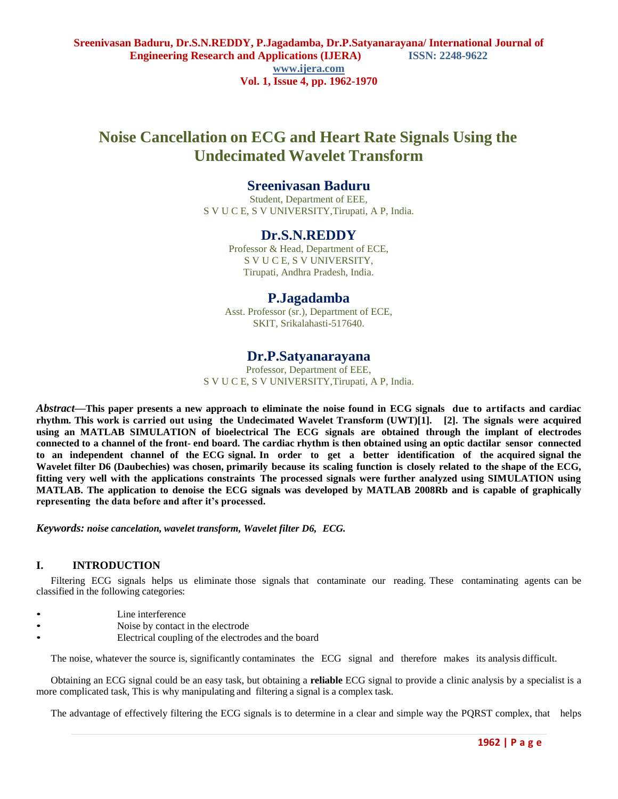# **Noise Cancellation on ECG and Heart Rate Signals Using the Undecimated Wavelet Transform**

### **Sreenivasan Baduru**

Student, Department of EEE, S V U C E, S V UNIVERSITY,Tirupati, A P, India.

### **Dr.S.N.REDDY**

Professor & Head, Department of ECE, S V U C E, S V UNIVERSITY, Tirupati, Andhra Pradesh, India.

### **P.Jagadamba**

Asst. Professor (sr.), Department of ECE, SKIT, Srikalahasti-517640.

### **Dr.P.Satyanarayana**

Professor, Department of EEE, S V U C E, S V UNIVERSITY,Tirupati, A P, India.

*Abstract***—This paper presents a new approach to eliminate the noise found in ECG signals due to artifacts and cardiac rhythm. This work is carried out using the Undecimated Wavelet Transform (UWT)[1]. [2]. The signals were acquired using an MATLAB SIMULATION of bioelectrical The ECG signals are obtained through the implant of electrodes**  connected to a channel of the front- end board. The cardiac rhythm is then obtained using an optic dactilar sensor connected **to an independent channel of the ECG signal. In order to get a better identification of the acquired signal the** Wavelet filter D6 (Daubechies) was chosen, primarily because its scaling function is closely related to the shape of the ECG, **fitting very well with the applications constraints The processed signals were further analyzed using SIMULATION using MATLAB. The application to denoise the ECG signals was developed by MATLAB 2008Rb and is capable of graphically representing the data before and after it's processed.**

*Keywords: noise cancelation, wavelet transform, Wavelet filter D6, ECG.*

#### **I. INTRODUCTION**

Filtering ECG signals helps us eliminate those signals that contaminate our reading. These contaminating agents can be classified in the following categories:

- Line interference
- Noise by contact in the electrode
- Electrical coupling of the electrodes and the board

The noise, whatever the source is, significantly contaminates the ECG signal and therefore makes its analysis difficult.

Obtaining an ECG signal could be an easy task, but obtaining a **reliable** ECG signal to provide a clinic analysis by a specialist is a more complicated task, This is why manipulating and filtering a signal is a complex task.

The advantage of effectively filtering the ECG signals is to determine in a clear and simple way the PQRST complex, that helps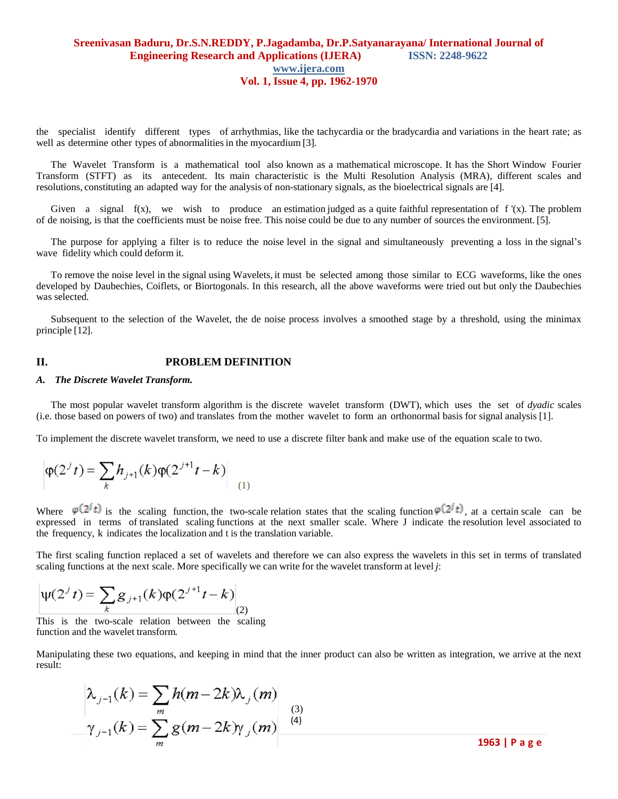the specialist identify different types of arrhythmias, like the tachycardia or the bradycardia and variations in the heart rate; as well as determine other types of abnormalities in the myocardium [3].

The Wavelet Transform is a mathematical tool also known as a mathematical microscope. It has the Short Window Fourier Transform (STFT) as its antecedent. Its main characteristic is the Multi Resolution Analysis (MRA), different scales and resolutions, constituting an adapted way for the analysis of non-stationary signals, as the bioelectrical signals are [4].

Given a signal  $f(x)$ , we wish to produce an estimation judged as a quite faithful representation of  $f'(x)$ . The problem of de noising, is that the coefficients must be noise free. This noise could be due to any number of sources the environment. [5].

The purpose for applying a filter is to reduce the noise level in the signal and simultaneously preventing a loss in the signal's wave fidelity which could deform it.

To remove the noise level in the signal using Wavelets, it must be selected among those similar to ECG waveforms, like the ones developed by Daubechies, Coiflets, or Biortogonals. In this research, all the above waveforms were tried out but only the Daubechies was selected.

Subsequent to the selection of the Wavelet, the de noise process involves a smoothed stage by a threshold, using the minimax principle [12].

#### **II. PROBLEM DEFINITION**

#### *A. The Discrete Wavelet Transform.*

The most popular wavelet transform algorithm is the discrete wavelet transform (DWT), which uses the set of *dyadic* scales (i.e. those based on powers of two) and translates from the mother wavelet to form an orthonormal basis for signal analysis [1].

To implement the discrete wavelet transform, we need to use a discrete filter bank and make use of the equation scale to two.

$$
\varphi(2^{j}t) = \sum_{k} h_{j+1}(k) \varphi(2^{j+1}t - k) \Big|_{(1)}
$$

Where  $\varphi(2^{j}t)$  is the scaling function, the two-scale relation states that the scaling function  $\varphi(2^{j}t)$ , at a certain scale can be expressed in terms of translated scaling functions at the next smaller scale. Where J indicate the resolution level associated to the frequency, k indicates the localization and t is the translation variable.

The first scaling function replaced a set of wavelets and therefore we can also express the wavelets in this set in terms of translated scaling functions at the next scale. More specifically we can write for the wavelet transform at level *j*:

$$
\Psi(2^{j} t) = \sum_{k} g_{j+1}(k) \varphi(2^{j+1} t - k) \bigg|_{(2)}
$$

This is the two-scale relation between the scaling function and the wavelet transform.

Manipulating these two equations, and keeping in mind that the inner product can also be written as integration, we arrive at the next result:

$$
\lambda_{j-1}(k) = \sum_{m} h(m-2k)\lambda_{j}(m)
$$
  

$$
-\gamma_{j-1}(k) = \sum_{m} g(m-2k)\gamma_{j}(m)
$$

**1963 | P a g e**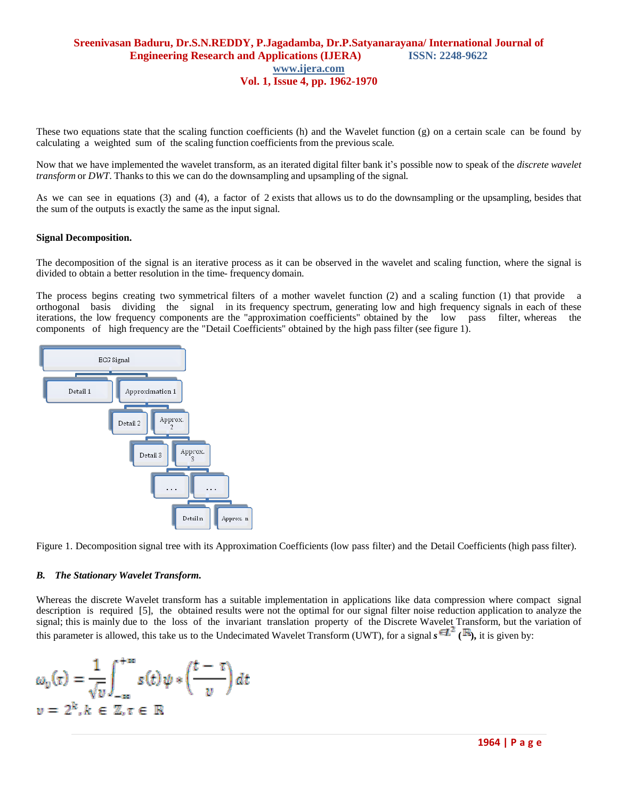These two equations state that the scaling function coefficients (h) and the Wavelet function (g) on a certain scale can be found by calculating a weighted sum of the scaling function coefficients from the previous scale.

Now that we have implemented the wavelet transform, as an iterated digital filter bank it's possible now to speak of the *discrete wavelet transform* or *DWT*. Thanks to this we can do the downsampling and upsampling of the signal.

As we can see in equations (3) and (4), a factor of 2 exists that allows us to do the downsampling or the upsampling, besides that the sum of the outputs is exactly the same as the input signal.

#### **Signal Decomposition.**

The decomposition of the signal is an iterative process as it can be observed in the wavelet and scaling function, where the signal is divided to obtain a better resolution in the time- frequency domain.

The process begins creating two symmetrical filters of a mother wavelet function (2) and a scaling function (1) that provide a orthogonal basis dividing the signal in its frequency spectrum, generating low and high frequency signals in each of these iterations, the low frequency components are the "approximation coefficients" obtained by the low pass filter, whereas the components of high frequency are the "Detail Coefficients" obtained by the high pass filter (see figure 1).



Figure 1. Decomposition signal tree with its Approximation Coefficients (low pass filter) and the Detail Coefficients (high pass filter).

#### *B. The Stationary Wavelet Transform.*

Whereas the discrete Wavelet transform has a suitable implementation in applications like data compression where compact signal description is required [5], the obtained results were not the optimal for our signal filter noise reduction application to analyze the signal; this is mainly due to the loss of the invariant translation property of the Discrete Wavelet Transform, but the variation of this parameter is allowed, this take us to the Undecimated Wavelet Transform (UWT), for a signal  $s \in \mathbb{Z}^2$  ( $\mathbb{R}$ ), it is given by:

$$
\omega_v(\tau) = \frac{1}{\sqrt{v}} \int_{-\infty}^{+\infty} s(t) \psi * \left(\frac{t-\tau}{v}\right) dt
$$
  

$$
v = 2^k, k \in \mathbb{Z}, \tau \in \mathbb{R}
$$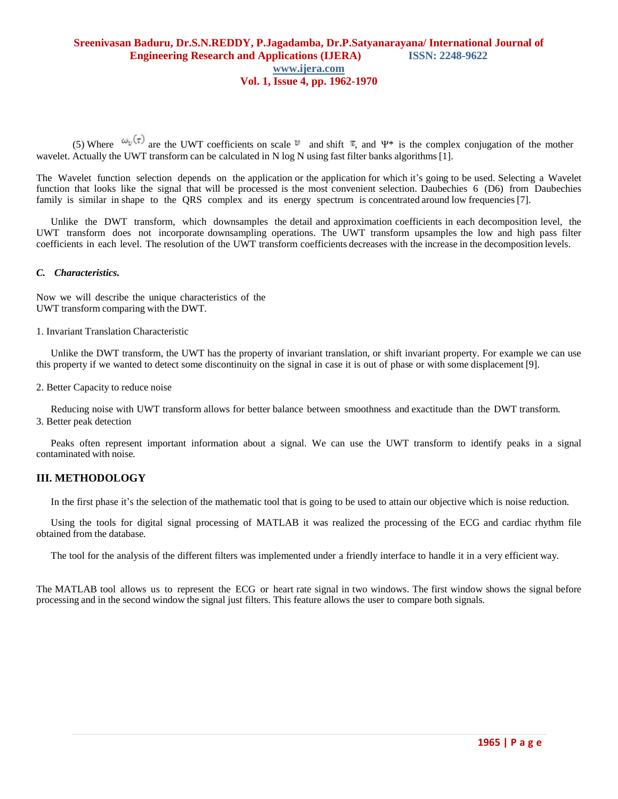(5) Where  $\omega_v(\tau)$  are the UWT coefficients on scale  $v$  and shift  $\tau$ , and  $\Psi^*$  is the complex conjugation of the mother wavelet. Actually the UWT transform can be calculated in N log N using fast filter banks algorithms [1].

The Wavelet function selection depends on the application or the application for which it's going to be used. Selecting a Wavelet function that looks like the signal that will be processed is the most convenient selection. Daubechies 6 (D6) from Daubechies family is similar in shape to the QRS complex and its energy spectrum is concentrated around low frequencies [7].

Unlike the DWT transform, which downsamples the detail and approximation coefficients in each decomposition level, the UWT transform does not incorporate downsampling operations. The UWT transform upsamples the low and high pass filter coefficients in each level. The resolution of the UWT transform coefficients decreases with the increase in the decomposition levels.

#### *C. Characteristics.*

Now we will describe the unique characteristics of the UWT transform comparing with the DWT.

1. Invariant Translation Characteristic

Unlike the DWT transform, the UWT has the property of invariant translation, or shift invariant property. For example we can use this property if we wanted to detect some discontinuity on the signal in case it is out of phase or with some displacement [9].

2. Better Capacity to reduce noise

Reducing noise with UWT transform allows for better balance between smoothness and exactitude than the DWT transform. 3. Better peak detection

Peaks often represent important information about a signal. We can use the UWT transform to identify peaks in a signal contaminated with noise.

#### **III. METHODOLOGY**

In the first phase it's the selection of the mathematic tool that is going to be used to attain our objective which is noise reduction.

Using the tools for digital signal processing of MATLAB it was realized the processing of the ECG and cardiac rhythm file obtained from the database.

The tool for the analysis of the different filters was implemented under a friendly interface to handle it in a very efficient way.

The MATLAB tool allows us to represent the ECG or heart rate signal in two windows. The first window shows the signal before processing and in the second window the signal just filters. This feature allows the user to compare both signals.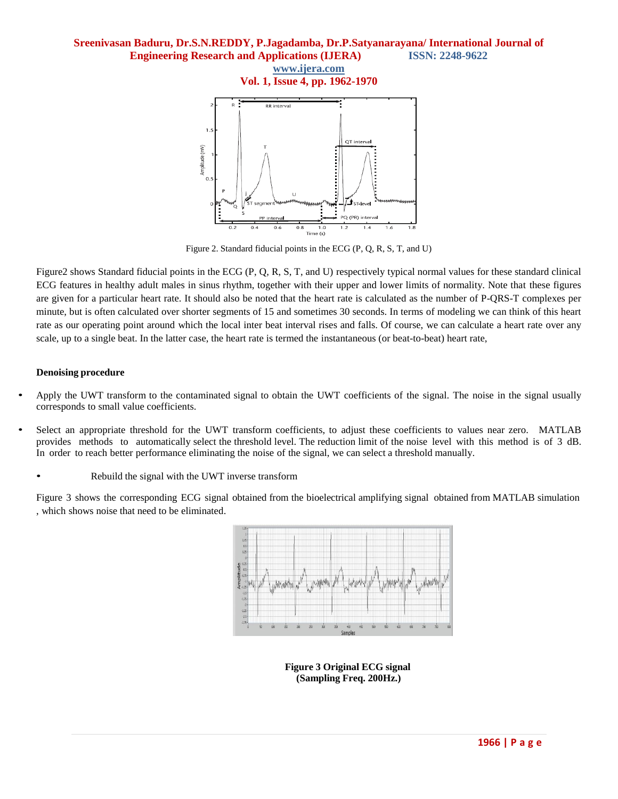#### **Sreenivasan Baduru, Dr.S.N.REDDY, P.Jagadamba, Dr.P.Satyanarayana/ International Journal of Engineering Research and Applications (IJERA) ISSN: 2248-9622**

**www.ijera.com**

**Vol. 1, Issue 4, pp. 1962-1970**



Figure 2. Standard fiducial points in the ECG (P, Q, R, S, T, and U)

Figure2 shows Standard fiducial points in the ECG (P, Q, R, S, T, and U) respectively typical normal values for these standard clinical ECG features in healthy adult males in sinus rhythm, together with their upper and lower limits of normality. Note that these figures are given for a particular heart rate. It should also be noted that the heart rate is calculated as the number of P-QRS-T complexes per minute, but is often calculated over shorter segments of 15 and sometimes 30 seconds. In terms of modeling we can think of this heart rate as our operating point around which the local inter beat interval rises and falls. Of course, we can calculate a heart rate over any scale, up to a single beat. In the latter case, the heart rate is termed the instantaneous (or beat-to-beat) heart rate,

#### **Denoising procedure**

- Apply the UWT transform to the contaminated signal to obtain the UWT coefficients of the signal. The noise in the signal usually corresponds to small value coefficients.
- Select an appropriate threshold for the UWT transform coefficients, to adjust these coefficients to values near zero. MATLAB provides methods to automatically select the threshold level. The reduction limit of the noise level with this method is of 3 dB. In order to reach better performance eliminating the noise of the signal, we can select a threshold manually.
	- Rebuild the signal with the UWT inverse transform

Figure 3 shows the corresponding ECG signal obtained from the bioelectrical amplifying signal obtained from MATLAB simulation , which shows noise that need to be eliminated.



**Figure 3 Original ECG signal (Sampling Freq. 200Hz.)**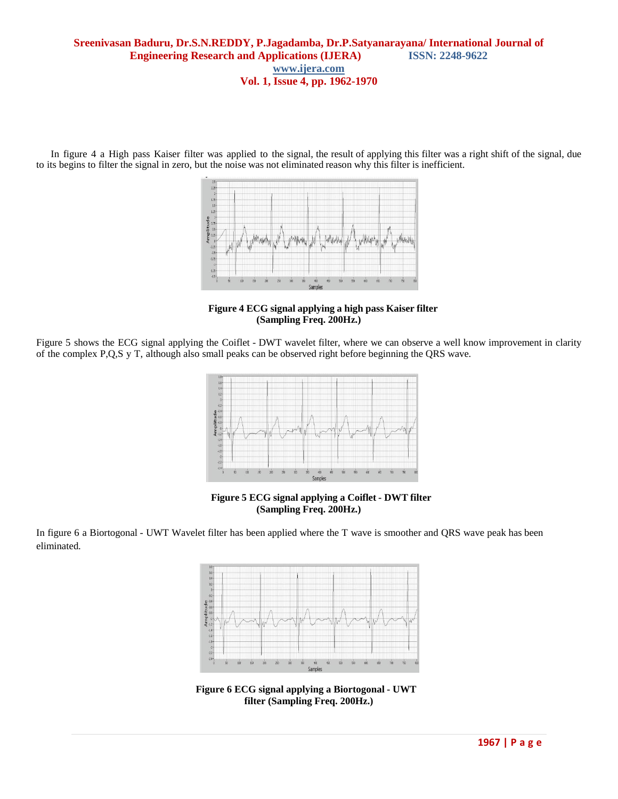In figure 4 a High pass Kaiser filter was applied to the signal, the result of applying this filter was a right shift of the signal, due to its begins to filter the signal in zero, but the noise was not eliminated reason why this filter is inefficient.



**Figure 4 ECG signal applying a high pass Kaiser filter (Sampling Freq. 200Hz.)**

Figure 5 shows the ECG signal applying the Coiflet - DWT wavelet filter, where we can observe a well know improvement in clarity of the complex P,Q,S y T, although also small peaks can be observed right before beginning the QRS wave.



**Figure 5 ECG signal applying a Coiflet - DWT filter (Sampling Freq. 200Hz.)**

In figure 6 a Biortogonal - UWT Wavelet filter has been applied where the T wave is smoother and QRS wave peak has been eliminated.



**Figure 6 ECG signal applying a Biortogonal - UWT filter (Sampling Freq. 200Hz.)**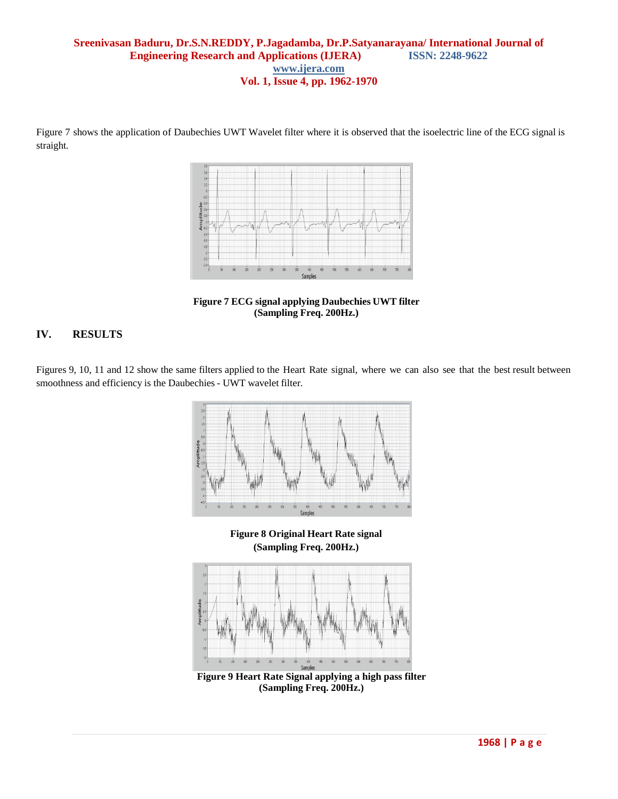Figure 7 shows the application of Daubechies UWT Wavelet filter where it is observed that the isoelectric line of the ECG signal is straight.



**Figure 7 ECG signal applying Daubechies UWT filter (Sampling Freq. 200Hz.)**

### **IV. RESULTS**

Figures 9, 10, 11 and 12 show the same filters applied to the Heart Rate signal, where we can also see that the best result between smoothness and efficiency is the Daubechies- UWT wavelet filter.



**(Sampling Freq. 200Hz.)**



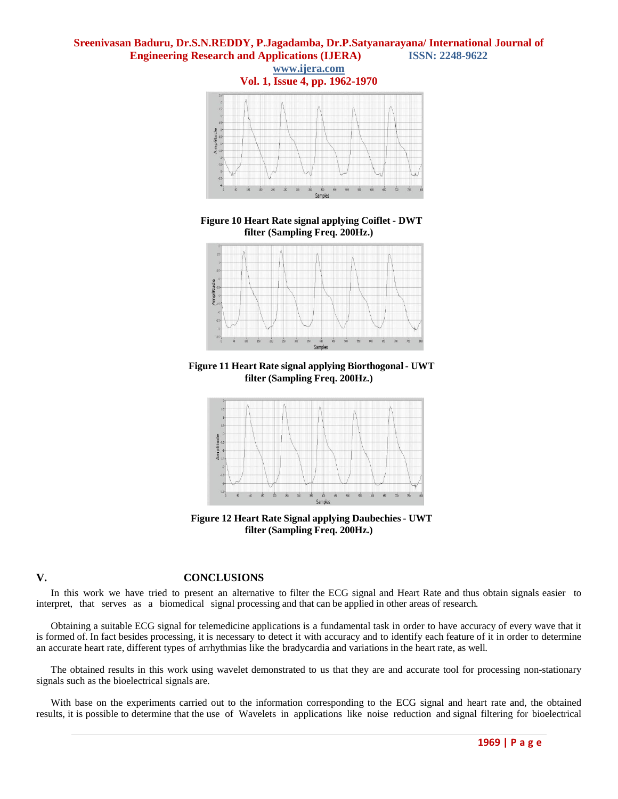#### **Sreenivasan Baduru, Dr.S.N.REDDY, P.Jagadamba, Dr.P.Satyanarayana/ International Journal of Engineering Research and Applications (IJERA) ISSN: 2248-9622**



**Figure 10 Heart Rate signal applying Coiflet - DWT filter (Sampling Freq. 200Hz.)**



**Figure 11 Heart Rate signal applying Biorthogonal- UWT filter (Sampling Freq. 200Hz.)**



**Figure 12 Heart Rate Signal applying Daubechies- UWT filter (Sampling Freq. 200Hz.)**

### **V. CONCLUSIONS**

In this work we have tried to present an alternative to filter the ECG signal and Heart Rate and thus obtain signals easier to interpret, that serves as a biomedical signal processing and that can be applied in other areas of research.

Obtaining a suitable ECG signal for telemedicine applications is a fundamental task in order to have accuracy of every wave that it is formed of. In fact besides processing, it is necessary to detect it with accuracy and to identify each feature of it in order to determine an accurate heart rate, different types of arrhythmias like the bradycardia and variations in the heart rate, as well.

The obtained results in this work using wavelet demonstrated to us that they are and accurate tool for processing non-stationary signals such as the bioelectrical signals are.

With base on the experiments carried out to the information corresponding to the ECG signal and heart rate and, the obtained results, it is possible to determine that the use of Wavelets in applications like noise reduction and signal filtering for bioelectrical